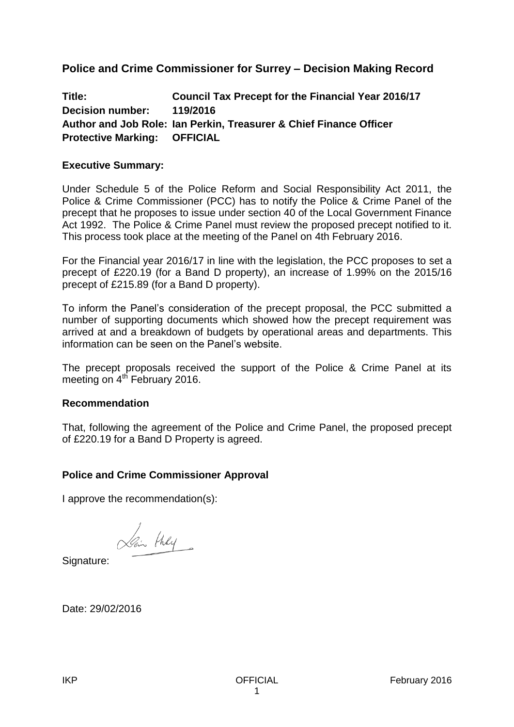# **Police and Crime Commissioner for Surrey – Decision Making Record**

**Title: Council Tax Precept for the Financial Year 2016/17 Decision number: 119/2016 Author and Job Role: Ian Perkin, Treasurer & Chief Finance Officer Protective Marking: OFFICIAL**

### **Executive Summary:**

Under Schedule 5 of the Police Reform and Social Responsibility Act 2011, the Police & Crime Commissioner (PCC) has to notify the Police & Crime Panel of the precept that he proposes to issue under section 40 of the Local Government Finance Act 1992. The Police & Crime Panel must review the proposed precept notified to it. This process took place at the meeting of the Panel on 4th February 2016.

For the Financial year 2016/17 in line with the legislation, the PCC proposes to set a precept of £220.19 (for a Band D property), an increase of 1.99% on the 2015/16 precept of £215.89 (for a Band D property).

To inform the Panel's consideration of the precept proposal, the PCC submitted a number of supporting documents which showed how the precept requirement was arrived at and a breakdown of budgets by operational areas and departments. This information can be seen on the Panel's website.

The precept proposals received the support of the Police & Crime Panel at its meeting on 4<sup>th</sup> February 2016.

### **Recommendation**

That, following the agreement of the Police and Crime Panel, the proposed precept of £220.19 for a Band D Property is agreed.

### **Police and Crime Commissioner Approval**

I approve the recommendation(s):

Hair they

Signature:

Date: 29/02/2016